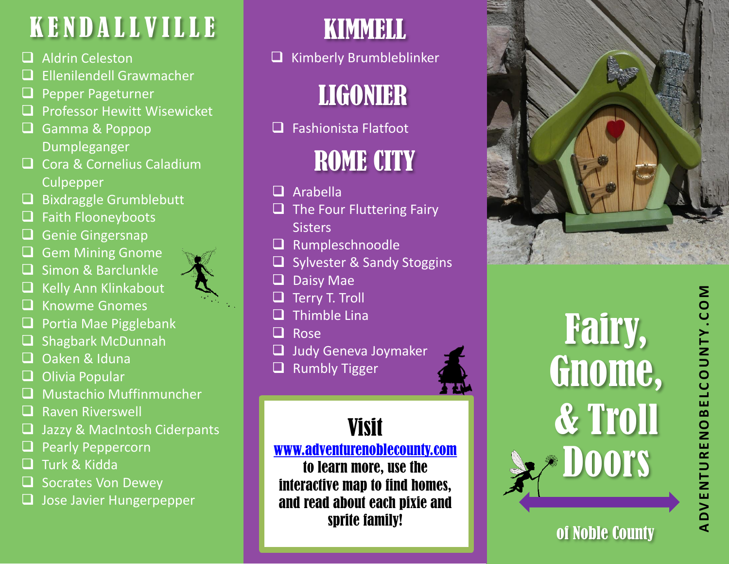# **KENDALLVILL**

- ❑ Aldrin Celeston
- ❑ Ellenilendell Grawmacher
- ❑ Pepper Pageturner
- ❑ Professor Hewitt Wisewicket
- ❑ Gamma & Poppop **Dumpleganger**
- ❑ Cora & Cornelius Caladium **Culpepper**
- ❑ Bixdraggle Grumblebutt
- ❑ Faith Flooneyboots
- ❑ Genie Gingersnap
- ❑ Gem Mining Gnome
- ❑ Simon & Barclunkle
- ❑ Kelly Ann Klinkabout



- ❑ Knowme Gnomes
- □ Portia Mae Pigglebank
- ❑ Shagbark McDunnah
- ❑ Oaken & Iduna
- ❑ Olivia Popular
- ❑ Mustachio Muffinmuncher
- ❑ Raven Riverswell
- Jazzy & MacIntosh Ciderpants
- Pearly Peppercorn
- ❑ Turk & Kidda
- ❑ Socrates Von Dewey
- ❑ Jose Javier Hungerpepper

## **KIMMELL**

❑ Kimberly Brumbleblinker

LIGONIER

❑ Fashionista Flatfoot

## ROME CITY

- ❑ Arabella
- ❑ The Four Fluttering Fairy **Sisters**
- ❑ Rumpleschnoodle
- ❑ Sylvester & Sandy Stoggins
- ❑ Daisy Mae
- ❑ Terry T. Troll
- ❑ Thimble Lina
- ❑ Rose
- ❑ Judy Geneva Joymaker
- ❑ Rumbly Tigger



## Visit

#### [www.adventurenoblecounty.com](http://www.adventurenoblecounty.com/)

to learn more, use the interactive map to find homes, and read about each pixie and sprite family!



# Fairy, Gnome, & Troll Doors

### of Noble County

**ADVENTURENOBELCOUNTY.COM ADV ENTURENOBELC OUNTY .C O M**